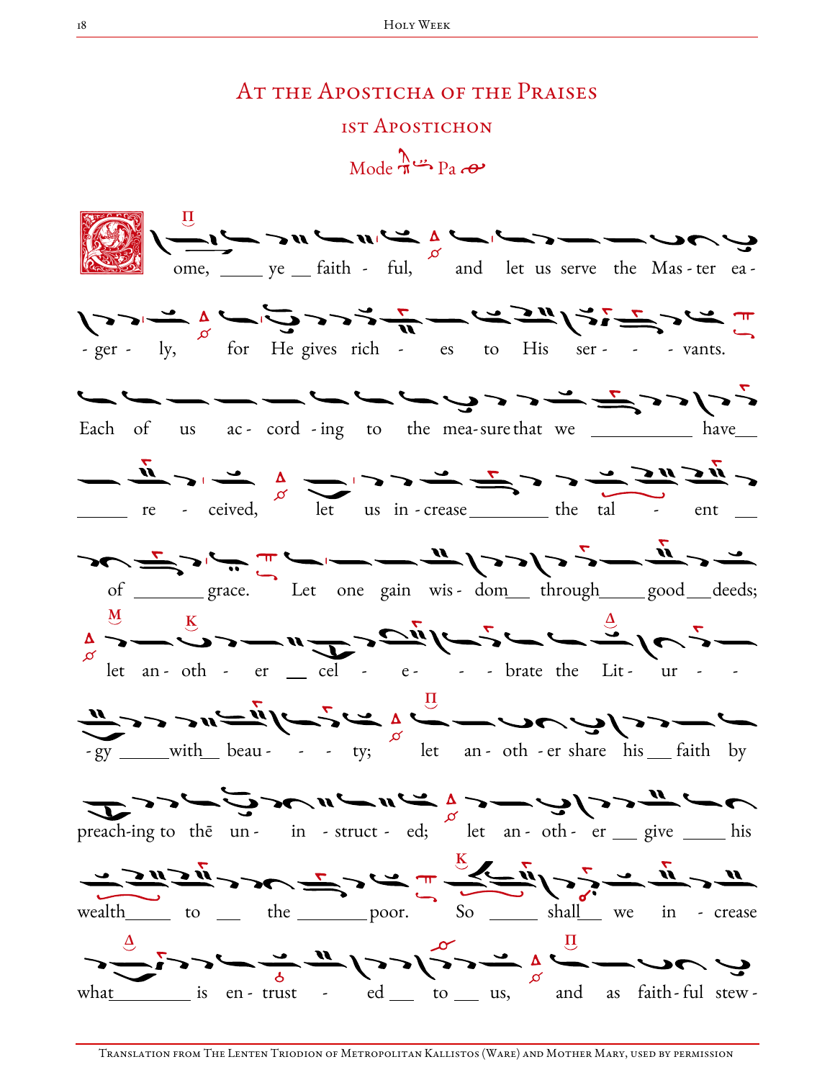## AT THE APOSTICHA OF THE PRAISES 1ST APOSTICHON

 $Mode \xrightarrow{\Lambda} P_3 \xrightarrow{\bullet}$ 



Translation from The Lenten Triodion of Metropolitan Kallistos (Ware) and Mother Mary, used by permission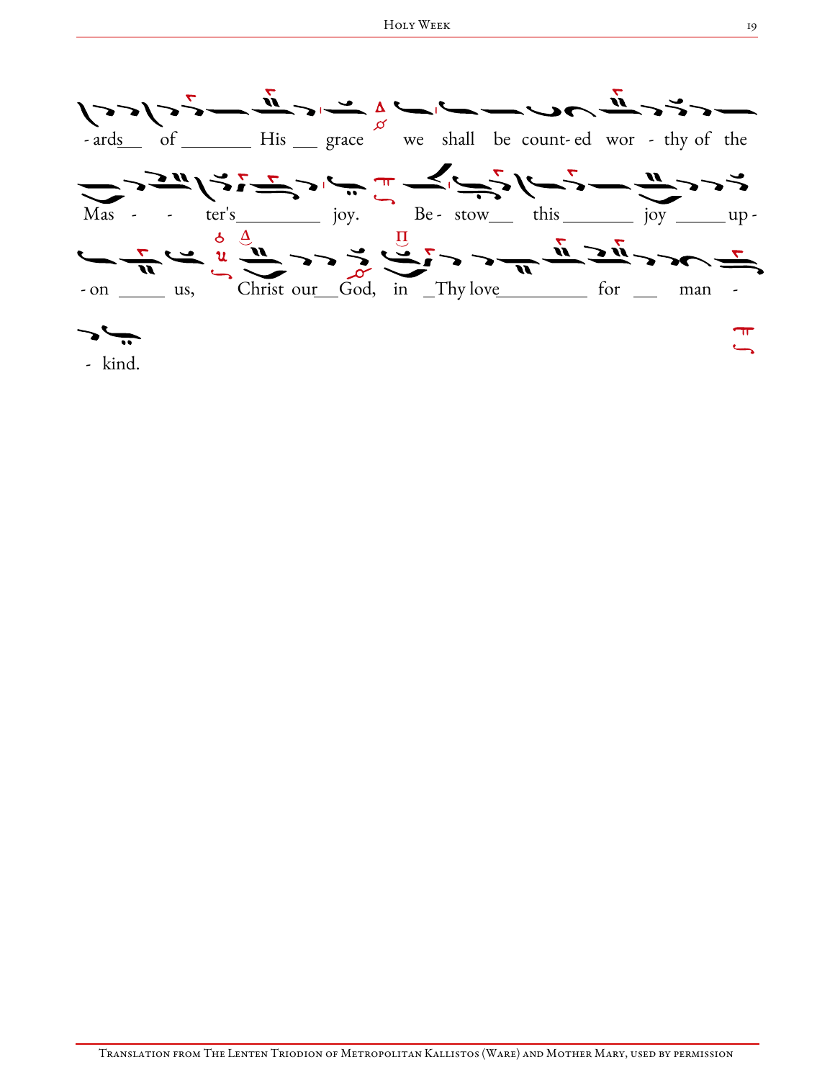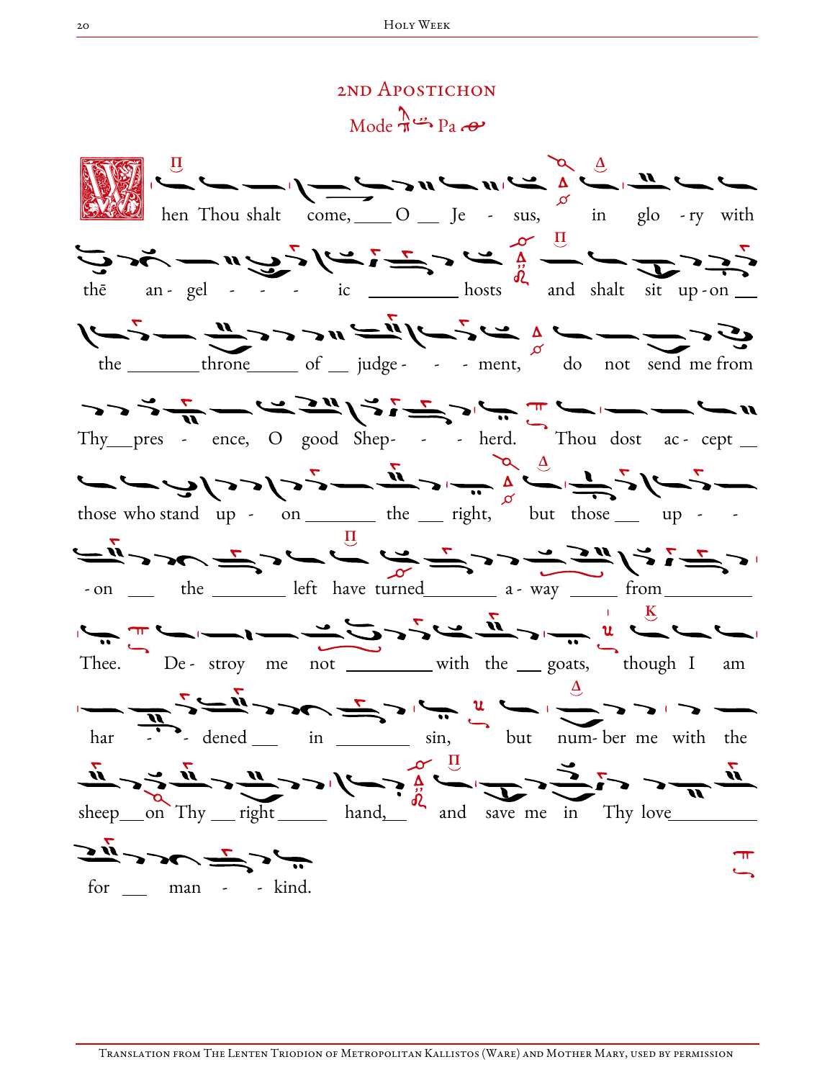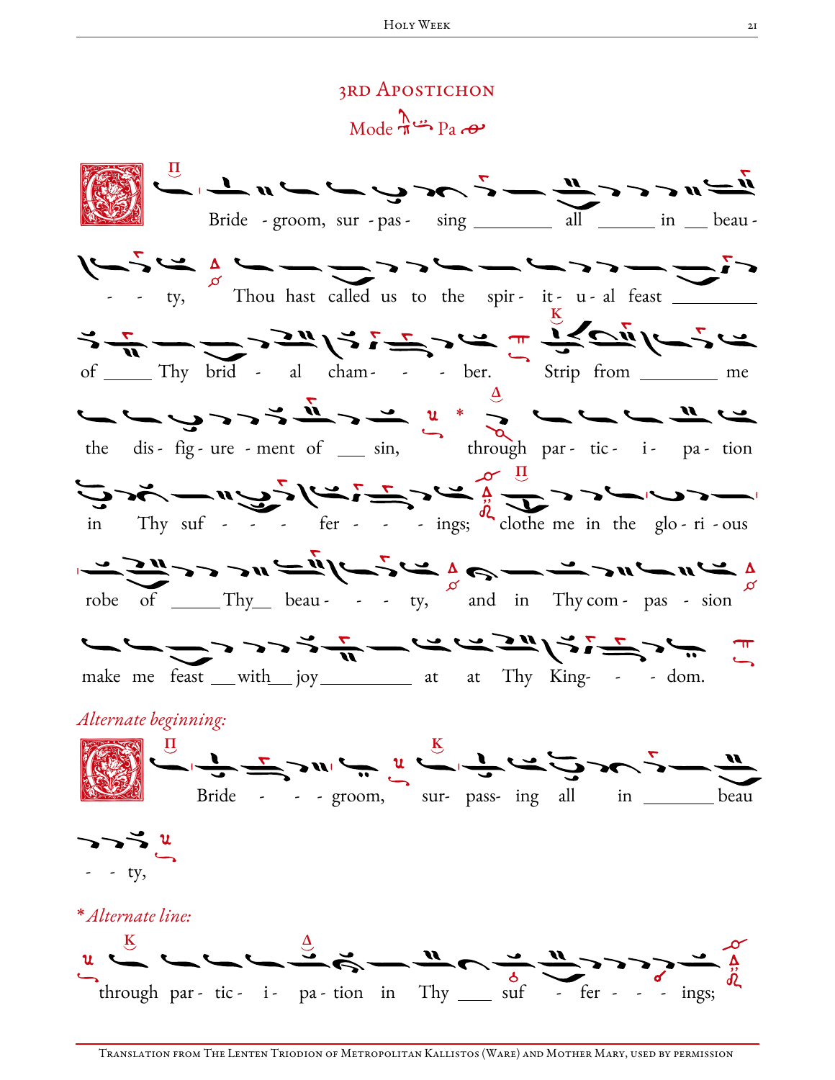## 3rd Apostichon

 $Mode \rightarrow Pa$ 

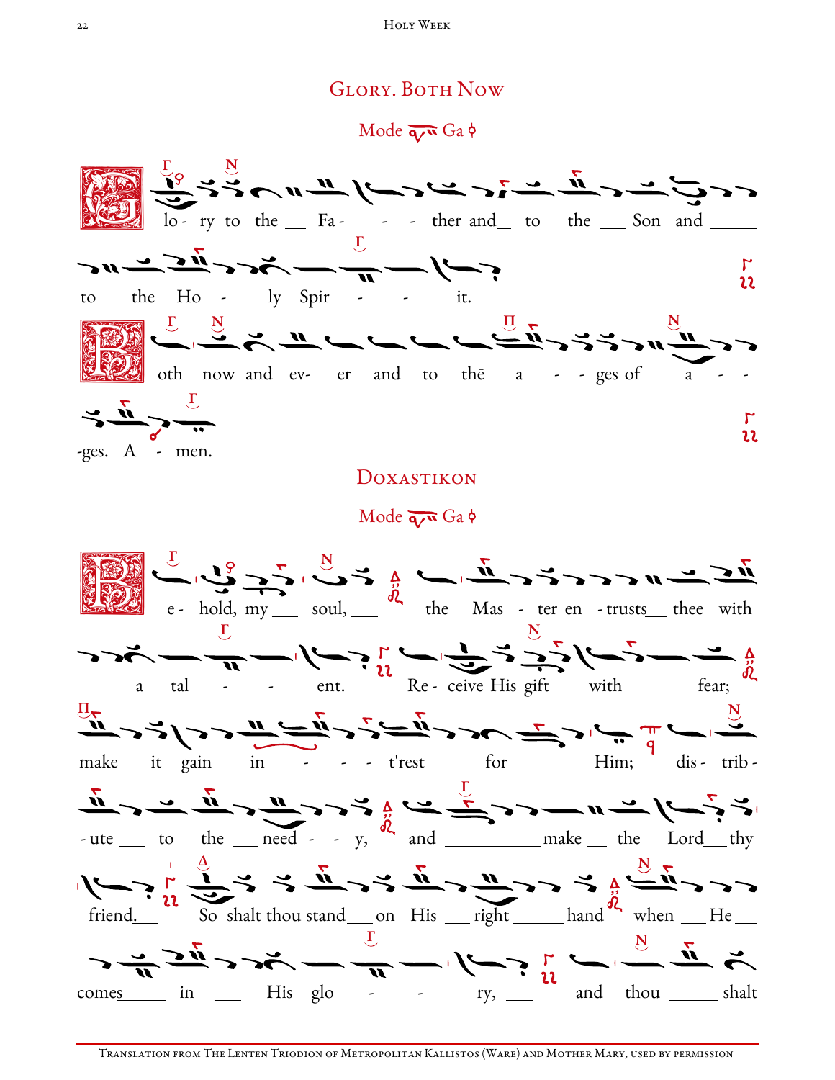## **GLORY. BOTH NOW**

Mode  $\overline{q}$  Ga  $\phi$ 



## DOXASTIKON

Mode  $\overline{q}$  Ga  $\phi$